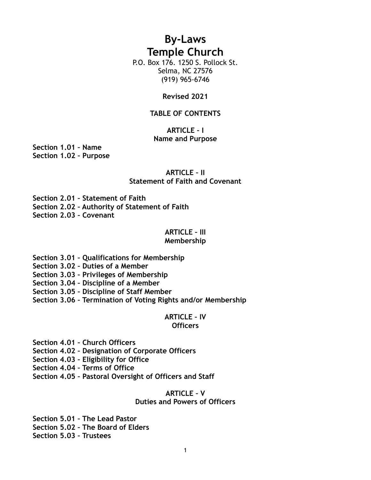# **By-Laws Temple Church**

P.O. Box 176. 1250 S. Pollock St. Selma, NC 27576 (919) 965-6746

#### **Revised 2021**

#### **TABLE OF CONTENTS**

## **ARTICLE – I Name and Purpose**

**Section 1.01 – Name Section 1.02 – Purpose**

#### **ARTICLE – II Statement of Faith and Covenant**

**Section 2.01 – Statement of Faith**

**Section 2.02 – Authority of Statement of Faith**

**Section 2.03 – Covenant**

## **ARTICLE – III**

## **Membership**

**Section 3.01 – Qualifications for Membership**

**Section 3.02 – Duties of a Member**

**Section 3.03 – Privileges of Membership**

**Section 3.04 – Discipline of a Member**

**Section 3.05 – Discipline of Staff Member**

**Section 3.06 – Termination of Voting Rights and/or Membership**

## **ARTICLE – IV**

#### **Officers**

**Section 4.01 – Church Officers**

**Section 4.02 – Designation of Corporate Officers**

**Section 4.03 – Eligibility for Office**

**Section 4.04 – Terms of Office**

**Section 4.05 – Pastoral Oversight of Officers and Staff**

## **ARTICLE – V**

## **Duties and Powers of Officers**

**Section 5.01 – The Lead Pastor Section 5.02 – The Board of Elders Section 5.03 – Trustees**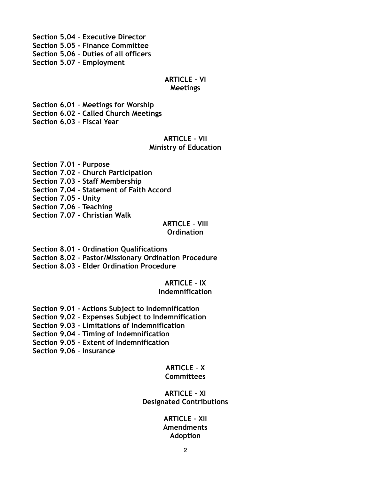**Section 5.04 – Executive Director Section 5.05 - Finance Committee Section 5.06 – Duties of all officers Section 5.07 – Employment**

## **ARTICLE – VI**

#### **Meetings**

**Section 6.01 – Meetings for Worship Section 6.02 – Called Church Meetings Section 6.03 – Fiscal Year**

## **ARTICLE – VII Ministry of Education**

**Section 7.01 – Purpose Section 7.02 – Church Participation Section 7.03 – Staff Membership Section 7.04 - Statement of Faith Accord Section 7.05 – Unity Section 7.06 – Teaching Section 7.07 – Christian Walk**

#### **ARTICLE – VIII Ordination**

**Section 8.01 – Ordination Qualifications**

**Section 8.02 – Pastor/Missionary Ordination Procedure**

**Section 8.03 – Elder Ordination Procedure**

## **ARTICLE – IX**

## **Indemnification**

**Section 9.01 – Actions Subject to Indemnification**

**Section 9.02 – Expenses Subject to Indemnification**

**Section 9.03 – Limitations of Indemnification**

**Section 9.04 – Timing of Indemnification**

**Section 9.05 – Extent of Indemnification**

**Section 9.06 – Insurance**

# **ARTICLE – X**

## **Committees**

## **ARTICLE – XI Designated Contributions**

#### **ARTICLE – XII Amendments Adoption**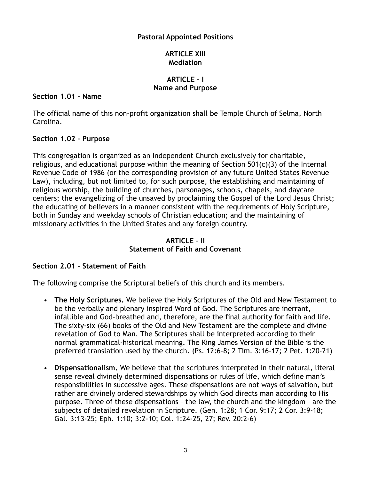## **Pastoral Appointed Positions**

## **ARTICLE XIII Mediation**

## **ARTICLE – I Name and Purpose**

## **Section 1.01 – Name**

The official name of this non-profit organization shall be Temple Church of Selma, North Carolina.

## **Section 1.02 – Purpose**

This congregation is organized as an Independent Church exclusively for charitable, religious, and educational purpose within the meaning of Section 501(c)(3) of the Internal Revenue Code of 1986 (or the corresponding provision of any future United States Revenue Law), including, but not limited to, for such purpose, the establishing and maintaining of religious worship, the building of churches, parsonages, schools, chapels, and daycare centers; the evangelizing of the unsaved by proclaiming the Gospel of the Lord Jesus Christ; the educating of believers in a manner consistent with the requirements of Holy Scripture, both in Sunday and weekday schools of Christian education; and the maintaining of missionary activities in the United States and any foreign country.

## **ARTICLE – II Statement of Faith and Covenant**

## **Section 2.01 – Statement of Faith**

The following comprise the Scriptural beliefs of this church and its members.

- **The Holy Scriptures.** We believe the Holy Scriptures of the Old and New Testament to be the verbally and plenary inspired Word of God. The Scriptures are inerrant, infallible and God-breathed and, therefore, are the final authority for faith and life. The sixty-six (66) books of the Old and New Testament are the complete and divine revelation of God to Man. The Scriptures shall be interpreted according to their normal grammatical-historical meaning. The King James Version of the Bible is the preferred translation used by the church. (Ps. 12:6-8; 2 Tim. 3:16-17; 2 Pet. 1:20-21)
- **Dispensationalism.** We believe that the scriptures interpreted in their natural, literal sense reveal divinely determined dispensations or rules of life, which define man's responsibilities in successive ages. These dispensations are not ways of salvation, but rather are divinely ordered stewardships by which God directs man according to His purpose. Three of these dispensations – the law, the church and the kingdom – are the subjects of detailed revelation in Scripture. (Gen. 1:28; 1 Cor. 9:17; 2 Cor. 3:9-18; Gal. 3:13-25; Eph. 1:10; 3:2-10; Col. 1:24-25, 27; Rev. 20:2-6)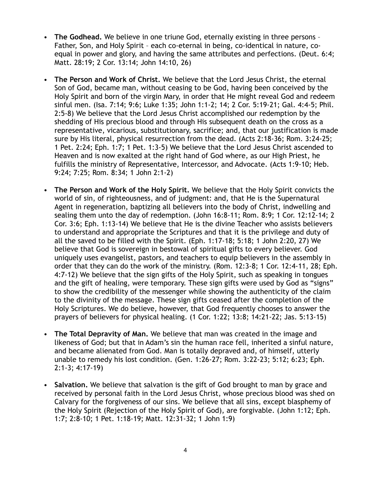- **The Godhead.** We believe in one triune God, eternally existing in three persons Father, Son, and Holy Spirit – each co-eternal in being, co-identical in nature, coequal in power and glory, and having the same attributes and perfections. (Deut. 6:4; Matt. 28:19; 2 Cor. 13:14; John 14:10, 26)
- **The Person and Work of Christ.** We believe that the Lord Jesus Christ, the eternal Son of God, became man, without ceasing to be God, having been conceived by the Holy Spirit and born of the virgin Mary, in order that He might reveal God and redeem sinful men. (Isa. 7:14; 9:6; Luke 1:35; John 1:1-2; 14; 2 Cor. 5:19-21; Gal. 4:4-5; Phil. 2:5-8) We believe that the Lord Jesus Christ accomplished our redemption by the shedding of His precious blood and through His subsequent death on the cross as a representative, vicarious, substitutionary, sacrifice; and, that our justification is made sure by His literal, physical resurrection from the dead. (Acts 2:18-36; Rom. 3:24-25; 1 Pet. 2:24; Eph. 1:7; 1 Pet. 1:3-5) We believe that the Lord Jesus Christ ascended to Heaven and is now exalted at the right hand of God where, as our High Priest, he fulfills the ministry of Representative, Intercessor, and Advocate. (Acts 1:9-10; Heb. 9:24; 7:25; Rom. 8:34; 1 John 2:1-2)
- **The Person and Work of the Holy Spirit.** We believe that the Holy Spirit convicts the world of sin, of righteousness, and of judgment: and, that He is the Supernatural Agent in regeneration, baptizing all believers into the body of Christ, indwelling and sealing them unto the day of redemption. (John 16:8-11; Rom. 8:9; 1 Cor. 12:12-14; 2 Cor. 3:6; Eph. 1:13-14) We believe that He is the divine Teacher who assists believers to understand and appropriate the Scriptures and that it is the privilege and duty of all the saved to be filled with the Spirit. (Eph. 1:17-18; 5:18; 1 John 2:20, 27) We believe that God is sovereign in bestowal of spiritual gifts to every believer. God uniquely uses evangelist, pastors, and teachers to equip believers in the assembly in order that they can do the work of the ministry. (Rom. 12:3-8; 1 Cor. 12:4-11, 28; Eph. 4:7-12) We believe that the sign gifts of the Holy Spirit, such as speaking in tongues and the gift of healing, were temporary. These sign gifts were used by God as "signs" to show the credibility of the messenger while showing the authenticity of the claim to the divinity of the message. These sign gifts ceased after the completion of the Holy Scriptures. We do believe, however, that God frequently chooses to answer the prayers of believers for physical healing. (1 Cor. 1:22; 13:8; 14:21-22; Jas. 5:13-15)
- **The Total Depravity of Man.** We believe that man was created in the image and likeness of God; but that in Adam's sin the human race fell, inherited a sinful nature, and became alienated from God. Man is totally depraved and, of himself, utterly unable to remedy his lost condition. (Gen. 1:26-27; Rom. 3:22-23; 5:12; 6:23; Eph. 2:1-3; 4:17-19)
- **Salvation.** We believe that salvation is the gift of God brought to man by grace and received by personal faith in the Lord Jesus Christ, whose precious blood was shed on Calvary for the forgiveness of our sins. We believe that all sins, except blasphemy of the Holy Spirit (Rejection of the Holy Spirit of God), are forgivable. (John 1:12; Eph. 1:7; 2:8-10; 1 Pet. 1:18-19; Matt. 12:31-32; 1 John 1:9)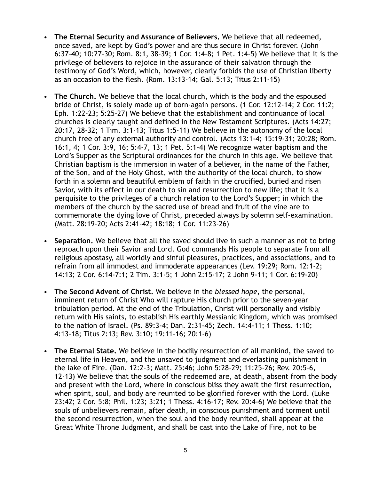- **The Eternal Security and Assurance of Believers.** We believe that all redeemed, once saved, are kept by God's power and are thus secure in Christ forever. (John 6:37-40; 10:27-30; Rom. 8:1, 38-39; 1 Cor. 1:4-8; 1 Pet. 1:4-5) We believe that it is the privilege of believers to rejoice in the assurance of their salvation through the testimony of God's Word, which, however, clearly forbids the use of Christian liberty as an occasion to the flesh. (Rom. 13:13-14; Gal. 5:13; Titus 2:11-15)
- **The Church.** We believe that the local church, which is the body and the espoused bride of Christ, is solely made up of born-again persons. (1 Cor. 12:12-14; 2 Cor. 11:2; Eph. 1:22-23; 5:25-27) We believe that the establishment and continuance of local churches is clearly taught and defined in the New Testament Scriptures. (Acts 14:27; 20:17, 28-32; 1 Tim. 3:1-13; Titus 1:5-11) We believe in the autonomy of the local church free of any external authority and control. (Acts 13:1-4; 15:19-31; 20:28; Rom. 16:1, 4; 1 Cor. 3:9, 16; 5:4-7, 13; 1 Pet. 5:1-4) We recognize water baptism and the Lord's Supper as the Scriptural ordinances for the church in this age. We believe that Christian baptism is the immersion in water of a believer, in the name of the Father, of the Son, and of the Holy Ghost, with the authority of the local church, to show forth in a solemn and beautiful emblem of faith in the crucified, buried and risen Savior, with its effect in our death to sin and resurrection to new life; that it is a perquisite to the privileges of a church relation to the Lord's Supper; in which the members of the church by the sacred use of bread and fruit of the vine are to commemorate the dying love of Christ, preceded always by solemn self-examination. (Matt. 28:19-20; Acts 2:41-42; 18:18; 1 Cor. 11:23-26)
- **Separation.** We believe that all the saved should live in such a manner as not to bring reproach upon their Savior and Lord. God commands His people to separate from all religious apostasy, all worldly and sinful pleasures, practices, and associations, and to refrain from all immodest and immoderate appearances (Lev. 19:29; Rom. 12:1-2; 14:13; 2 Cor. 6:14-7:1; 2 Tim. 3:1-5; 1 John 2:15-17; 2 John 9-11; 1 Cor. 6:19-20)
- **The Second Advent of Christ.** We believe in the *blessed hope*, the personal, imminent return of Christ Who will rapture His church prior to the seven-year tribulation period. At the end of the Tribulation, Christ will personally and visibly return with His saints, to establish His earthly Messianic Kingdom, which was promised to the nation of Israel. (Ps. 89:3-4; Dan. 2:31-45; Zech. 14:4-11; 1 Thess. 1:10; 4:13-18; Titus 2:13; Rev. 3:10; 19:11-16; 20:1-6)
- **The Eternal State.** We believe in the bodily resurrection of all mankind, the saved to eternal life in Heaven, and the unsaved to judgment and everlasting punishment in the lake of Fire. (Dan. 12:2-3; Matt. 25:46; John 5:28-29; 11:25-26; Rev. 20:5-6, 12-13) We believe that the souls of the redeemed are, at death, absent from the body and present with the Lord, where in conscious bliss they await the first resurrection, when spirit, soul, and body are reunited to be glorified forever with the Lord. (Luke 23:42; 2 Cor. 5:8; Phil. 1:23; 3:21; 1 Thess. 4:16-17; Rev. 20:4-6) We believe that the souls of unbelievers remain, after death, in conscious punishment and torment until the second resurrection, when the soul and the body reunited, shall appear at the Great White Throne Judgment, and shall be cast into the Lake of Fire, not to be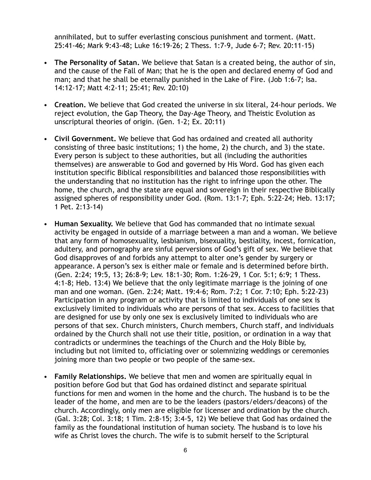annihilated, but to suffer everlasting conscious punishment and torment. (Matt. 25:41-46; Mark 9:43-48; Luke 16:19-26; 2 Thess. 1:7-9, Jude 6-7; Rev. 20:11-15)

- **The Personality of Satan.** We believe that Satan is a created being, the author of sin, and the cause of the Fall of Man; that he is the open and declared enemy of God and man; and that he shall be eternally punished in the Lake of Fire. (Job 1:6-7; Isa. 14:12-17; Matt 4:2-11; 25:41; Rev. 20:10)
- **Creation.** We believe that God created the universe in six literal, 24-hour periods. We reject evolution, the Gap Theory, the Day-Age Theory, and Theistic Evolution as unscriptural theories of origin. (Gen. 1-2; Ex. 20:11)
- **Civil Government.** We believe that God has ordained and created all authority consisting of three basic institutions; 1) the home, 2) the church, and 3) the state. Every person is subject to these authorities, but all (including the authorities themselves) are answerable to God and governed by His Word. God has given each institution specific Biblical responsibilities and balanced those responsibilities with the understanding that no institution has the right to infringe upon the other. The home, the church, and the state are equal and sovereign in their respective Biblically assigned spheres of responsibility under God. (Rom. 13:1-7; Eph. 5:22-24; Heb. 13:17; 1 Pet. 2:13-14)
- **Human Sexuality.** We believe that God has commanded that no intimate sexual activity be engaged in outside of a marriage between a man and a woman. We believe that any form of homosexuality, lesbianism, bisexuality, bestiality, incest, fornication, adultery, and pornography are sinful perversions of God's gift of sex. We believe that God disapproves of and forbids any attempt to alter one's gender by surgery or appearance. A person's sex is either male or female and is determined before birth. (Gen. 2:24; 19:5, 13; 26:8-9; Lev. 18:1-30; Rom. 1:26-29, 1 Cor. 5:1; 6:9; 1 Thess. 4:1-8; Heb. 13:4) We believe that the only legitimate marriage is the joining of one man and one woman. (Gen. 2:24; Matt. 19:4-6; Rom. 7:2; 1 Cor. 7:10; Eph. 5:22-23) Participation in any program or activity that is limited to individuals of one sex is exclusively limited to individuals who are persons of that sex. Access to facilities that are designed for use by only one sex is exclusively limited to individuals who are persons of that sex. Church ministers, Church members, Church staff, and individuals ordained by the Church shall not use their title, position, or ordination in a way that contradicts or undermines the teachings of the Church and the Holy Bible by, including but not limited to, officiating over or solemnizing weddings or ceremonies joining more than two people or two people of the same-sex.
- **Family Relationships.** We believe that men and women are spiritually equal in position before God but that God has ordained distinct and separate spiritual functions for men and women in the home and the church. The husband is to be the leader of the home, and men are to be the leaders (pastors/elders/deacons) of the church. Accordingly, only men are eligible for licenser and ordination by the church. (Gal. 3:28; Col. 3:18; 1 Tim. 2:8-15; 3:4-5, 12) We believe that God has ordained the family as the foundational institution of human society. The husband is to love his wife as Christ loves the church. The wife is to submit herself to the Scriptural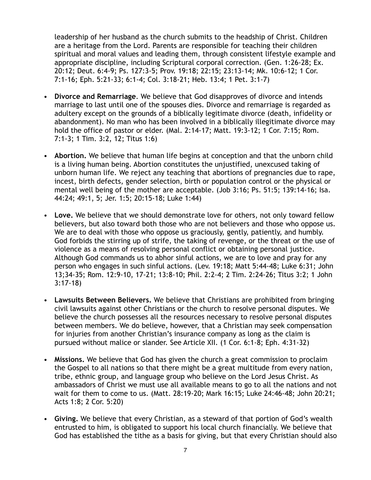leadership of her husband as the church submits to the headship of Christ. Children are a heritage from the Lord. Parents are responsible for teaching their children spiritual and moral values and leading them, through consistent lifestyle example and appropriate discipline, including Scriptural corporal correction. (Gen. 1:26-28; Ex. 20:12; Deut. 6:4-9; Ps. 127:3-5; Prov. 19:18; 22:15; 23:13-14; Mk. 10:6-12; 1 Cor. 7:1-16; Eph. 5:21-33; 6:1-4; Col. 3:18-21; Heb. 13:4; 1 Pet. 3:1-7)

- **Divorce and Remarriage**. We believe that God disapproves of divorce and intends marriage to last until one of the spouses dies. Divorce and remarriage is regarded as adultery except on the grounds of a biblically legitimate divorce (death, infidelity or abandonment). No man who has been involved in a biblically illegitimate divorce may hold the office of pastor or elder. (Mal. 2:14-17; Matt. 19:3-12; 1 Cor. 7:15; Rom. 7:1-3; 1 Tim. 3:2, 12; Titus 1:6)
- **Abortion.** We believe that human life begins at conception and that the unborn child is a living human being. Abortion constitutes the unjustified, unexcused taking of unborn human life. We reject any teaching that abortions of pregnancies due to rape, incest, birth defects, gender selection, birth or population control or the physical or mental well being of the mother are acceptable. (Job 3:16; Ps. 51:5; 139:14-16; Isa. 44:24; 49:1, 5; Jer. 1:5; 20:15-18; Luke 1:44)
- **Love.** We believe that we should demonstrate love for others, not only toward fellow believers, but also toward both those who are not believers and those who oppose us. We are to deal with those who oppose us graciously, gently, patiently, and humbly. God forbids the stirring up of strife, the taking of revenge, or the threat or the use of violence as a means of resolving personal conflict or obtaining personal justice. Although God commands us to abhor sinful actions, we are to love and pray for any person who engages in such sinful actions. (Lev. 19:18; Matt 5:44-48; Luke 6:31; John 13;34-35; Rom. 12:9-10, 17-21; 13:8-10; Phil. 2:2-4; 2 Tim. 2:24-26; Titus 3:2; 1 John 3:17-18)
- **Lawsuits Between Believers.** We believe that Christians are prohibited from bringing civil lawsuits against other Christians or the church to resolve personal disputes. We believe the church possesses all the resources necessary to resolve personal disputes between members. We do believe, however, that a Christian may seek compensation for injuries from another Christian's insurance company as long as the claim is pursued without malice or slander. See Article XII. (1 Cor. 6:1-8; Eph. 4:31-32)
- **Missions.** We believe that God has given the church a great commission to proclaim the Gospel to all nations so that there might be a great multitude from every nation, tribe, ethnic group, and language group who believe on the Lord Jesus Christ. As ambassadors of Christ we must use all available means to go to all the nations and not wait for them to come to us. (Matt. 28:19-20; Mark 16:15; Luke 24:46-48; John 20:21; Acts 1:8; 2 Cor. 5:20)
- **Giving.** We believe that every Christian, as a steward of that portion of God's wealth entrusted to him, is obligated to support his local church financially. We believe that God has established the tithe as a basis for giving, but that every Christian should also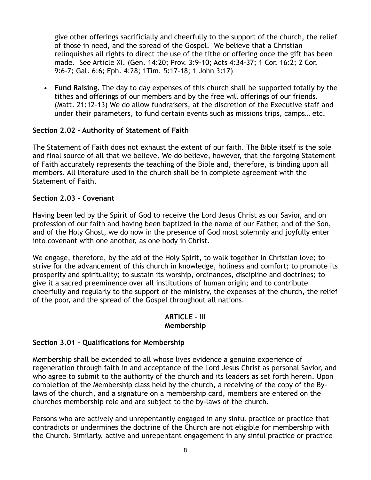give other offerings sacrificially and cheerfully to the support of the church, the relief of those in need, and the spread of the Gospel. We believe that a Christian relinquishes all rights to direct the use of the tithe or offering once the gift has been made. See Article XI. (Gen. 14:20; Prov. 3:9-10; Acts 4:34-37; 1 Cor. 16:2; 2 Cor. 9:6-7; Gal. 6:6; Eph. 4:28; 1Tim. 5:17-18; 1 John 3:17)

• **Fund Raising.** The day to day expenses of this church shall be supported totally by the tithes and offerings of our members and by the free will offerings of our friends. (Matt. 21:12-13) We do allow fundraisers, at the discretion of the Executive staff and under their parameters, to fund certain events such as missions trips, camps… etc.

## **Section 2.02 – Authority of Statement of Faith**

The Statement of Faith does not exhaust the extent of our faith. The Bible itself is the sole and final source of all that we believe. We do believe, however, that the forgoing Statement of Faith accurately represents the teaching of the Bible and, therefore, is binding upon all members. All literature used in the church shall be in complete agreement with the Statement of Faith.

## **Section 2.03 – Covenant**

Having been led by the Spirit of God to receive the Lord Jesus Christ as our Savior, and on profession of our faith and having been baptized in the name of our Father, and of the Son, and of the Holy Ghost, we do now in the presence of God most solemnly and joyfully enter into covenant with one another, as one body in Christ.

We engage, therefore, by the aid of the Holy Spirit, to walk together in Christian love; to strive for the advancement of this church in knowledge, holiness and comfort; to promote its prosperity and spirituality; to sustain its worship, ordinances, discipline and doctrines; to give it a sacred preeminence over all institutions of human origin; and to contribute cheerfully and regularly to the support of the ministry, the expenses of the church, the relief of the poor, and the spread of the Gospel throughout all nations.

## **ARTICLE – III Membership**

## **Section 3.01 – Qualifications for Membership**

Membership shall be extended to all whose lives evidence a genuine experience of regeneration through faith in and acceptance of the Lord Jesus Christ as personal Savior, and who agree to submit to the authority of the church and its leaders as set forth herein. Upon completion of the Membership class held by the church, a receiving of the copy of the Bylaws of the church, and a signature on a membership card, members are entered on the churches membership role and are subject to the by-laws of the church.

Persons who are actively and unrepentantly engaged in any sinful practice or practice that contradicts or undermines the doctrine of the Church are not eligible for membership with the Church. Similarly, active and unrepentant engagement in any sinful practice or practice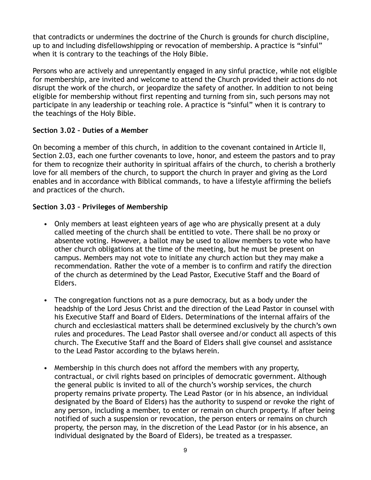that contradicts or undermines the doctrine of the Church is grounds for church discipline, up to and including disfellowshipping or revocation of membership. A practice is "sinful" when it is contrary to the teachings of the Holy Bible.

Persons who are actively and unrepentantly engaged in any sinful practice, while not eligible for membership, are invited and welcome to attend the Church provided their actions do not disrupt the work of the church, or jeopardize the safety of another. In addition to not being eligible for membership without first repenting and turning from sin, such persons may not participate in any leadership or teaching role. A practice is "sinful" when it is contrary to the teachings of the Holy Bible.

## **Section 3.02 – Duties of a Member**

On becoming a member of this church, in addition to the covenant contained in Article II, Section 2.03, each one further covenants to love, honor, and esteem the pastors and to pray for them to recognize their authority in spiritual affairs of the church, to cherish a brotherly love for all members of the church, to support the church in prayer and giving as the Lord enables and in accordance with Biblical commands, to have a lifestyle affirming the beliefs and practices of the church.

## **Section 3.03 – Privileges of Membership**

- Only members at least eighteen years of age who are physically present at a duly called meeting of the church shall be entitled to vote. There shall be no proxy or absentee voting. However, a ballot may be used to allow members to vote who have other church obligations at the time of the meeting, but he must be present on campus. Members may not vote to initiate any church action but they may make a recommendation. Rather the vote of a member is to confirm and ratify the direction of the church as determined by the Lead Pastor, Executive Staff and the Board of Elders.
- The congregation functions not as a pure democracy, but as a body under the headship of the Lord Jesus Christ and the direction of the Lead Pastor in counsel with his Executive Staff and Board of Elders. Determinations of the internal affairs of the church and ecclesiastical matters shall be determined exclusively by the church's own rules and procedures. The Lead Pastor shall oversee and/or conduct all aspects of this church. The Executive Staff and the Board of Elders shall give counsel and assistance to the Lead Pastor according to the bylaws herein.
- Membership in this church does not afford the members with any property, contractual, or civil rights based on principles of democratic government. Although the general public is invited to all of the church's worship services, the church property remains private property. The Lead Pastor (or in his absence, an individual designated by the Board of Elders) has the authority to suspend or revoke the right of any person, including a member, to enter or remain on church property. If after being notified of such a suspension or revocation, the person enters or remains on church property, the person may, in the discretion of the Lead Pastor (or in his absence, an individual designated by the Board of Elders), be treated as a trespasser.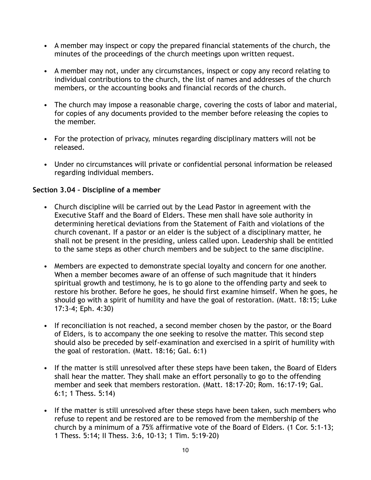- A member may inspect or copy the prepared financial statements of the church, the minutes of the proceedings of the church meetings upon written request.
- A member may not, under any circumstances, inspect or copy any record relating to individual contributions to the church, the list of names and addresses of the church members, or the accounting books and financial records of the church.
- The church may impose a reasonable charge, covering the costs of labor and material, for copies of any documents provided to the member before releasing the copies to the member.
- For the protection of privacy, minutes regarding disciplinary matters will not be released.
- Under no circumstances will private or confidential personal information be released regarding individual members.

## **Section 3.04 – Discipline of a member**

- Church discipline will be carried out by the Lead Pastor in agreement with the Executive Staff and the Board of Elders. These men shall have sole authority in determining heretical deviations from the Statement of Faith and violations of the church covenant. If a pastor or an elder is the subject of a disciplinary matter, he shall not be present in the presiding, unless called upon. Leadership shall be entitled to the same steps as other church members and be subject to the same discipline.
- Members are expected to demonstrate special loyalty and concern for one another. When a member becomes aware of an offense of such magnitude that it hinders spiritual growth and testimony, he is to go alone to the offending party and seek to restore his brother. Before he goes, he should first examine himself. When he goes, he should go with a spirit of humility and have the goal of restoration. (Matt. 18:15; Luke 17:3-4; Eph. 4:30)
- If reconciliation is not reached, a second member chosen by the pastor, or the Board of Elders, is to accompany the one seeking to resolve the matter. This second step should also be preceded by self-examination and exercised in a spirit of humility with the goal of restoration. (Matt. 18:16; Gal. 6:1)
- If the matter is still unresolved after these steps have been taken, the Board of Elders shall hear the matter. They shall make an effort personally to go to the offending member and seek that members restoration. (Matt. 18:17-20; Rom. 16:17-19; Gal. 6:1; 1 Thess. 5:14)
- If the matter is still unresolved after these steps have been taken, such members who refuse to repent and be restored are to be removed from the membership of the church by a minimum of a 75% affirmative vote of the Board of Elders. (1 Cor. 5:1-13; 1 Thess. 5:14; II Thess. 3:6, 10-13; 1 Tim. 5:19-20)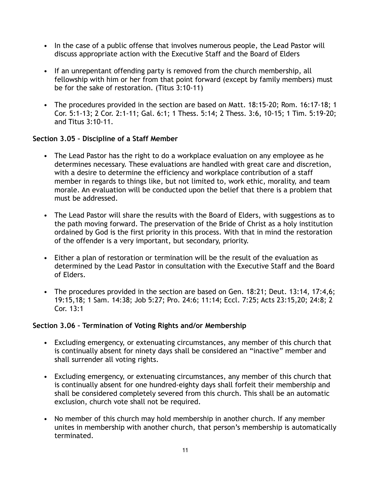- In the case of a public offense that involves numerous people, the Lead Pastor will discuss appropriate action with the Executive Staff and the Board of Elders
- If an unrepentant offending party is removed from the church membership, all fellowship with him or her from that point forward (except by family members) must be for the sake of restoration. (Titus 3:10-11)
- The procedures provided in the section are based on Matt. 18:15-20; Rom. 16:17-18; 1 Cor. 5:1-13; 2 Cor. 2:1-11; Gal. 6:1; 1 Thess. 5:14; 2 Thess. 3:6, 10-15; 1 Tim. 5:19-20; and Titus 3:10-11.

## **Section 3.05 – Discipline of a Staff Member**

- The Lead Pastor has the right to do a workplace evaluation on any employee as he determines necessary. These evaluations are handled with great care and discretion, with a desire to determine the efficiency and workplace contribution of a staff member in regards to things like, but not limited to, work ethic, morality, and team morale. An evaluation will be conducted upon the belief that there is a problem that must be addressed.
- The Lead Pastor will share the results with the Board of Elders, with suggestions as to the path moving forward. The preservation of the Bride of Christ as a holy institution ordained by God is the first priority in this process. With that in mind the restoration of the offender is a very important, but secondary, priority.
- Either a plan of restoration or termination will be the result of the evaluation as determined by the Lead Pastor in consultation with the Executive Staff and the Board of Elders.
- The procedures provided in the section are based on Gen. 18:21; Deut. 13:14, 17:4,6; 19:15,18; 1 Sam. 14:38; Job 5:27; Pro. 24:6; 11:14; Eccl. 7:25; Acts 23:15,20; 24:8; 2 Cor. 13:1

## **Section 3.06 – Termination of Voting Rights and/or Membership**

- Excluding emergency, or extenuating circumstances, any member of this church that is continually absent for ninety days shall be considered an "inactive" member and shall surrender all voting rights.
- Excluding emergency, or extenuating circumstances, any member of this church that is continually absent for one hundred-eighty days shall forfeit their membership and shall be considered completely severed from this church. This shall be an automatic exclusion, church vote shall not be required.
- No member of this church may hold membership in another church. If any member unites in membership with another church, that person's membership is automatically terminated.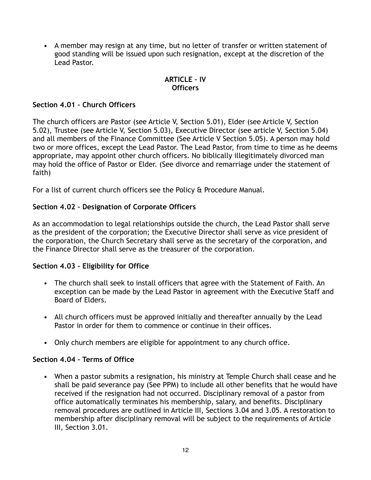• A member may resign at any time, but no letter of transfer or written statement of good standing will be issued upon such resignation, except at the discretion of the Lead Pastor.

## **ARTICLE – IV Officers**

## **Section 4.01 – Church Officers**

The church officers are Pastor (see Article V, Section 5.01), Elder (see Article V, Section 5.02), Trustee (see Article V, Section 5.03), Executive Director (see article V, Section 5.04) and all members of the Finance Committee (See Article V Section 5.05). A person may hold two or more offices, except the Lead Pastor. The Lead Pastor, from time to time as he deems appropriate, may appoint other church officers. No biblically illegitimately divorced man may hold the office of Pastor or Elder. (See divorce and remarriage under the statement of faith)

For a list of current church officers see the Policy & Procedure Manual.

## **Section 4.02 – Designation of Corporate Officers**

As an accommodation to legal relationships outside the church, the Lead Pastor shall serve as the president of the corporation; the Executive Director shall serve as vice president of the corporation, the Church Secretary shall serve as the secretary of the corporation, and the Finance Director shall serve as the treasurer of the corporation.

## **Section 4.03 – Eligibility for Office**

- The church shall seek to install officers that agree with the Statement of Faith. An exception can be made by the Lead Pastor in agreement with the Executive Staff and Board of Elders.
- All church officers must be approved initially and thereafter annually by the Lead Pastor in order for them to commence or continue in their offices.
- Only church members are eligible for appointment to any church office.

## **Section 4.04 – Terms of Office**

• When a pastor submits a resignation, his ministry at Temple Church shall cease and he shall be paid severance pay (See PPM) to include all other benefits that he would have received if the resignation had not occurred. Disciplinary removal of a pastor from office automatically terminates his membership, salary, and benefits. Disciplinary removal procedures are outlined in Article III, Sections 3.04 and 3.05. A restoration to membership after disciplinary removal will be subject to the requirements of Article III, Section 3.01.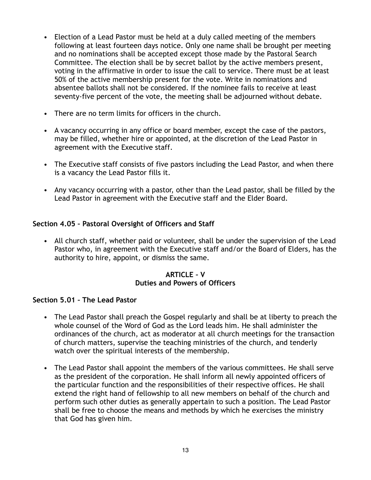- Election of a Lead Pastor must be held at a duly called meeting of the members following at least fourteen days notice. Only one name shall be brought per meeting and no nominations shall be accepted except those made by the Pastoral Search Committee. The election shall be by secret ballot by the active members present, voting in the affirmative in order to issue the call to service. There must be at least 50% of the active membership present for the vote. Write in nominations and absentee ballots shall not be considered. If the nominee fails to receive at least seventy-five percent of the vote, the meeting shall be adjourned without debate.
- There are no term limits for officers in the church.
- A vacancy occurring in any office or board member, except the case of the pastors, may be filled, whether hire or appointed, at the discretion of the Lead Pastor in agreement with the Executive staff.
- The Executive staff consists of five pastors including the Lead Pastor, and when there is a vacancy the Lead Pastor fills it.
- Any vacancy occurring with a pastor, other than the Lead pastor, shall be filled by the Lead Pastor in agreement with the Executive staff and the Elder Board.

## **Section 4.05 – Pastoral Oversight of Officers and Staff**

• All church staff, whether paid or volunteer, shall be under the supervision of the Lead Pastor who, in agreement with the Executive staff and/or the Board of Elders, has the authority to hire, appoint, or dismiss the same.

## **ARTICLE – V Duties and Powers of Officers**

## **Section 5.01 – The Lead Pastor**

- The Lead Pastor shall preach the Gospel regularly and shall be at liberty to preach the whole counsel of the Word of God as the Lord leads him. He shall administer the ordinances of the church, act as moderator at all church meetings for the transaction of church matters, supervise the teaching ministries of the church, and tenderly watch over the spiritual interests of the membership.
- The Lead Pastor shall appoint the members of the various committees. He shall serve as the president of the corporation. He shall inform all newly appointed officers of the particular function and the responsibilities of their respective offices. He shall extend the right hand of fellowship to all new members on behalf of the church and perform such other duties as generally appertain to such a position. The Lead Pastor shall be free to choose the means and methods by which he exercises the ministry that God has given him.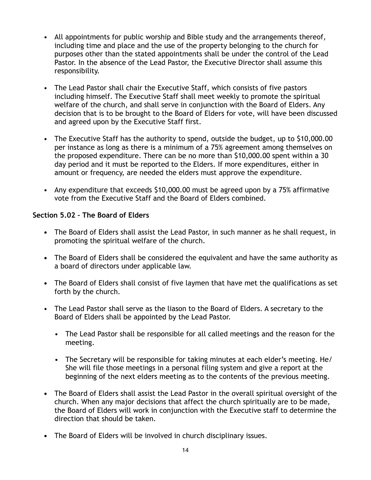- All appointments for public worship and Bible study and the arrangements thereof, including time and place and the use of the property belonging to the church for purposes other than the stated appointments shall be under the control of the Lead Pastor. In the absence of the Lead Pastor, the Executive Director shall assume this responsibility.
- The Lead Pastor shall chair the Executive Staff, which consists of five pastors including himself. The Executive Staff shall meet weekly to promote the spiritual welfare of the church, and shall serve in conjunction with the Board of Elders. Any decision that is to be brought to the Board of Elders for vote, will have been discussed and agreed upon by the Executive Staff first.
- The Executive Staff has the authority to spend, outside the budget, up to \$10,000.00 per instance as long as there is a minimum of a 75% agreement among themselves on the proposed expenditure. There can be no more than \$10,000.00 spent within a 30 day period and it must be reported to the Elders. If more expenditures, either in amount or frequency, are needed the elders must approve the expenditure.
- Any expenditure that exceeds \$10,000.00 must be agreed upon by a 75% affirmative vote from the Executive Staff and the Board of Elders combined.

## **Section 5.02 – The Board of Elders**

- **•** The Board of Elders shall assist the Lead Pastor, in such manner as he shall request, in promoting the spiritual welfare of the church.
- **•** The Board of Elders shall be considered the equivalent and have the same authority as a board of directors under applicable law.
- **•** The Board of Elders shall consist of five laymen that have met the qualifications as set forth by the church.
- The Lead Pastor shall serve as the liason to the Board of Elders. A secretary to the Board of Elders shall be appointed by the Lead Pastor.
	- The Lead Pastor shall be responsible for all called meetings and the reason for the meeting.
	- The Secretary will be responsible for taking minutes at each elder's meeting. He/ She will file those meetings in a personal filing system and give a report at the beginning of the next elders meeting as to the contents of the previous meeting.
- **•** The Board of Elders shall assist the Lead Pastor in the overall spiritual oversight of the church. When any major decisions that affect the church spiritually are to be made, the Board of Elders will work in conjunction with the Executive staff to determine the direction that should be taken.
- **•** The Board of Elders will be involved in church disciplinary issues.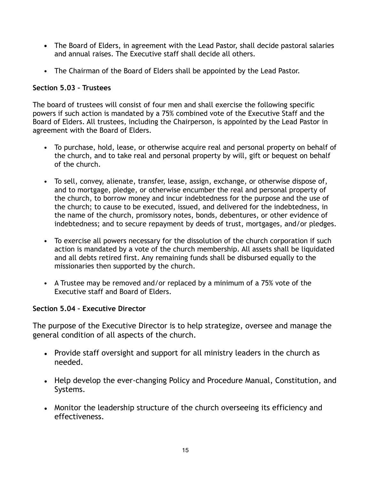- **•** The Board of Elders, in agreement with the Lead Pastor, shall decide pastoral salaries and annual raises. The Executive staff shall decide all others.
- The Chairman of the Board of Elders shall be appointed by the Lead Pastor.

## **Section 5.03 – Trustees**

The board of trustees will consist of four men and shall exercise the following specific powers if such action is mandated by a 75% combined vote of the Executive Staff and the Board of Elders. All trustees, including the Chairperson, is appointed by the Lead Pastor in agreement with the Board of Elders.

- To purchase, hold, lease, or otherwise acquire real and personal property on behalf of the church, and to take real and personal property by will, gift or bequest on behalf of the church.
- To sell, convey, alienate, transfer, lease, assign, exchange, or otherwise dispose of, and to mortgage, pledge, or otherwise encumber the real and personal property of the church, to borrow money and incur indebtedness for the purpose and the use of the church; to cause to be executed, issued, and delivered for the indebtedness, in the name of the church, promissory notes, bonds, debentures, or other evidence of indebtedness; and to secure repayment by deeds of trust, mortgages, and/or pledges.
- To exercise all powers necessary for the dissolution of the church corporation if such action is mandated by a vote of the church membership. All assets shall be liquidated and all debts retired first. Any remaining funds shall be disbursed equally to the missionaries then supported by the church.
- A Trustee may be removed and/or replaced by a minimum of a 75% vote of the Executive staff and Board of Elders.

## **Section 5.04 – Executive Director**

The purpose of the Executive Director is to help strategize, oversee and manage the general condition of all aspects of the church.

- Provide staff oversight and support for all ministry leaders in the church as needed.
- Help develop the ever-changing Policy and Procedure Manual, Constitution, and Systems.
- Monitor the leadership structure of the church overseeing its efficiency and effectiveness.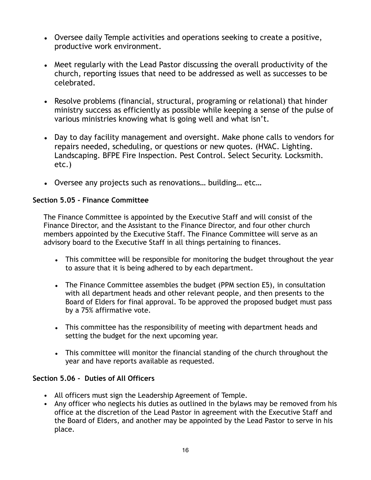- Oversee daily Temple activities and operations seeking to create a positive, productive work environment.
- Meet regularly with the Lead Pastor discussing the overall productivity of the church, reporting issues that need to be addressed as well as successes to be celebrated.
- Resolve problems (financial, structural, programing or relational) that hinder ministry success as efficiently as possible while keeping a sense of the pulse of various ministries knowing what is going well and what isn't.
- Day to day facility management and oversight. Make phone calls to vendors for repairs needed, scheduling, or questions or new quotes. (HVAC. Lighting. Landscaping. BFPE Fire Inspection. Pest Control. Select Security. Locksmith. etc.)
- Oversee any projects such as renovations… building… etc…

## **Section 5.05 - Finance Committee**

The Finance Committee is appointed by the Executive Staff and will consist of the Finance Director, and the Assistant to the Finance Director, and four other church members appointed by the Executive Staff. The Finance Committee will serve as an advisory board to the Executive Staff in all things pertaining to finances.

- This committee will be responsible for monitoring the budget throughout the year to assure that it is being adhered to by each department.
- The Finance Committee assembles the budget (PPM section E5), in consultation with all department heads and other relevant people, and then presents to the Board of Elders for final approval. To be approved the proposed budget must pass by a 75% affirmative vote.
- This committee has the responsibility of meeting with department heads and setting the budget for the next upcoming year.
- This committee will monitor the financial standing of the church throughout the year and have reports available as requested.

## **Section 5.06 - Duties of All Officers**

- All officers must sign the Leadership Agreement of Temple.
- Any officer who neglects his duties as outlined in the bylaws may be removed from his office at the discretion of the Lead Pastor in agreement with the Executive Staff and the Board of Elders, and another may be appointed by the Lead Pastor to serve in his place.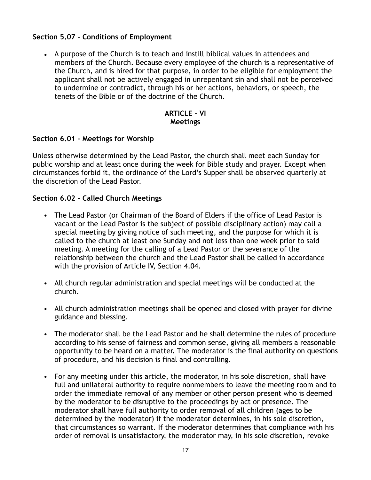## **Section 5.07 - Conditions of Employment**

• A purpose of the Church is to teach and instill biblical values in attendees and members of the Church. Because every employee of the church is a representative of the Church, and is hired for that purpose, in order to be eligible for employment the applicant shall not be actively engaged in unrepentant sin and shall not be perceived to undermine or contradict, through his or her actions, behaviors, or speech, the tenets of the Bible or of the doctrine of the Church.

## **ARTICLE – VI Meetings**

## **Section 6.01 – Meetings for Worship**

Unless otherwise determined by the Lead Pastor, the church shall meet each Sunday for public worship and at least once during the week for Bible study and prayer. Except when circumstances forbid it, the ordinance of the Lord's Supper shall be observed quarterly at the discretion of the Lead Pastor.

## **Section 6.02 – Called Church Meetings**

- The Lead Pastor (or Chairman of the Board of Elders if the office of Lead Pastor is vacant or the Lead Pastor is the subject of possible disciplinary action) may call a special meeting by giving notice of such meeting, and the purpose for which it is called to the church at least one Sunday and not less than one week prior to said meeting. A meeting for the calling of a Lead Pastor or the severance of the relationship between the church and the Lead Pastor shall be called in accordance with the provision of Article IV, Section 4.04.
- All church regular administration and special meetings will be conducted at the church.
- All church administration meetings shall be opened and closed with prayer for divine guidance and blessing.
- The moderator shall be the Lead Pastor and he shall determine the rules of procedure according to his sense of fairness and common sense, giving all members a reasonable opportunity to be heard on a matter. The moderator is the final authority on questions of procedure, and his decision is final and controlling.
- For any meeting under this article, the moderator, in his sole discretion, shall have full and unilateral authority to require nonmembers to leave the meeting room and to order the immediate removal of any member or other person present who is deemed by the moderator to be disruptive to the proceedings by act or presence. The moderator shall have full authority to order removal of all children (ages to be determined by the moderator) if the moderator determines, in his sole discretion, that circumstances so warrant. If the moderator determines that compliance with his order of removal is unsatisfactory, the moderator may, in his sole discretion, revoke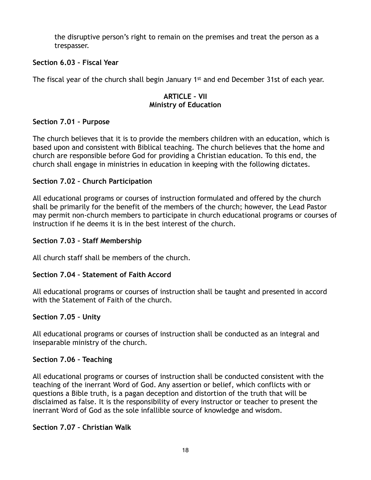the disruptive person's right to remain on the premises and treat the person as a trespasser.

## **Section 6.03 – Fiscal Year**

The fiscal year of the church shall begin January 1st and end December 31st of each year.

## **ARTICLE – VII Ministry of Education**

## **Section 7.01 – Purpose**

The church believes that it is to provide the members children with an education, which is based upon and consistent with Biblical teaching. The church believes that the home and church are responsible before God for providing a Christian education. To this end, the church shall engage in ministries in education in keeping with the following dictates.

## **Section 7.02 – Church Participation**

All educational programs or courses of instruction formulated and offered by the church shall be primarily for the benefit of the members of the church; however, the Lead Pastor may permit non-church members to participate in church educational programs or courses of instruction if he deems it is in the best interest of the church.

## **Section 7.03 – Staff Membership**

All church staff shall be members of the church.

## **Section 7.04 – Statement of Faith Accord**

All educational programs or courses of instruction shall be taught and presented in accord with the Statement of Faith of the church.

## **Section 7.05 – Unity**

All educational programs or courses of instruction shall be conducted as an integral and inseparable ministry of the church.

## **Section 7.06 – Teaching**

All educational programs or courses of instruction shall be conducted consistent with the teaching of the inerrant Word of God. Any assertion or belief, which conflicts with or questions a Bible truth, is a pagan deception and distortion of the truth that will be disclaimed as false. It is the responsibility of every instructor or teacher to present the inerrant Word of God as the sole infallible source of knowledge and wisdom.

## **Section 7.07 – Christian Walk**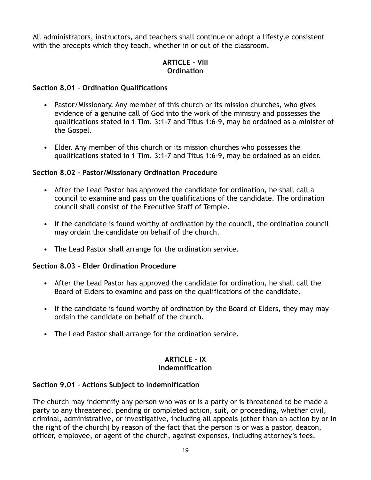All administrators, instructors, and teachers shall continue or adopt a lifestyle consistent with the precepts which they teach, whether in or out of the classroom.

## **ARTICLE – VIII Ordination**

## **Section 8.01 – Ordination Qualifications**

- Pastor/Missionary. Any member of this church or its mission churches, who gives evidence of a genuine call of God into the work of the ministry and possesses the qualifications stated in 1 Tim. 3:1-7 and Titus 1:6-9, may be ordained as a minister of the Gospel.
- Elder. Any member of this church or its mission churches who possesses the qualifications stated in 1 Tim. 3:1-7 and Titus 1:6-9, may be ordained as an elder.

## **Section 8.02 – Pastor/Missionary Ordination Procedure**

- After the Lead Pastor has approved the candidate for ordination, he shall call a council to examine and pass on the qualifications of the candidate. The ordination council shall consist of the Executive Staff of Temple.
- If the candidate is found worthy of ordination by the council, the ordination council may ordain the candidate on behalf of the church.
- The Lead Pastor shall arrange for the ordination service.

## **Section 8.03 – Elder Ordination Procedure**

- After the Lead Pastor has approved the candidate for ordination, he shall call the Board of Elders to examine and pass on the qualifications of the candidate.
- If the candidate is found worthy of ordination by the Board of Elders, they may may ordain the candidate on behalf of the church.
- The Lead Pastor shall arrange for the ordination service.

## **ARTICLE – IX Indemnification**

## **Section 9.01 – Actions Subject to Indemnification**

The church may indemnify any person who was or is a party or is threatened to be made a party to any threatened, pending or completed action, suit, or proceeding, whether civil, criminal, administrative, or investigative, including all appeals (other than an action by or in the right of the church) by reason of the fact that the person is or was a pastor, deacon, officer, employee, or agent of the church, against expenses, including attorney's fees,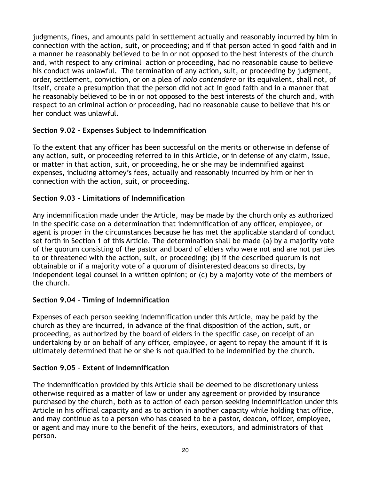judgments, fines, and amounts paid in settlement actually and reasonably incurred by him in connection with the action, suit, or proceeding; and if that person acted in good faith and in a manner he reasonably believed to be in or not opposed to the best interests of the church and, with respect to any criminal action or proceeding, had no reasonable cause to believe his conduct was unlawful. The termination of any action, suit, or proceeding by judgment, order, settlement, conviction, or on a plea of *nolo contendere* or its equivalent, shall not, of itself, create a presumption that the person did not act in good faith and in a manner that he reasonably believed to be in or not opposed to the best interests of the church and, with respect to an criminal action or proceeding, had no reasonable cause to believe that his or her conduct was unlawful.

## **Section 9.02 – Expenses Subject to Indemnification**

To the extent that any officer has been successful on the merits or otherwise in defense of any action, suit, or proceeding referred to in this Article, or in defense of any claim, issue, or matter in that action, suit, or proceeding, he or she may be indemnified against expenses, including attorney's fees, actually and reasonably incurred by him or her in connection with the action, suit, or proceeding.

## **Section 9.03 – Limitations of Indemnification**

Any indemnification made under the Article, may be made by the church only as authorized in the specific case on a determination that indemnification of any officer, employee, or agent is proper in the circumstances because he has met the applicable standard of conduct set forth in Section 1 of this Article. The determination shall be made (a) by a majority vote of the quorum consisting of the pastor and board of elders who were not and are not parties to or threatened with the action, suit, or proceeding; (b) if the described quorum is not obtainable or if a majority vote of a quorum of disinterested deacons so directs, by independent legal counsel in a written opinion; or (c) by a majority vote of the members of the church.

## **Section 9.04 – Timing of Indemnification**

Expenses of each person seeking indemnification under this Article, may be paid by the church as they are incurred, in advance of the final disposition of the action, suit, or proceeding, as authorized by the board of elders in the specific case, on receipt of an undertaking by or on behalf of any officer, employee, or agent to repay the amount if it is ultimately determined that he or she is not qualified to be indemnified by the church.

## **Section 9.05 – Extent of Indemnification**

The indemnification provided by this Article shall be deemed to be discretionary unless otherwise required as a matter of law or under any agreement or provided by insurance purchased by the church, both as to action of each person seeking indemnification under this Article in his official capacity and as to action in another capacity while holding that office, and may continue as to a person who has ceased to be a pastor, deacon, officer, employee, or agent and may inure to the benefit of the heirs, executors, and administrators of that person.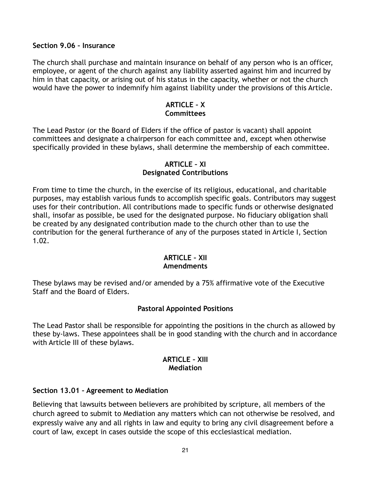#### **Section 9.06 – Insurance**

The church shall purchase and maintain insurance on behalf of any person who is an officer, employee, or agent of the church against any liability asserted against him and incurred by him in that capacity, or arising out of his status in the capacity, whether or not the church would have the power to indemnify him against liability under the provisions of this Article.

## **ARTICLE – X Committees**

The Lead Pastor (or the Board of Elders if the office of pastor is vacant) shall appoint committees and designate a chairperson for each committee and, except when otherwise specifically provided in these bylaws, shall determine the membership of each committee.

## **ARTICLE – XI Designated Contributions**

From time to time the church, in the exercise of its religious, educational, and charitable purposes, may establish various funds to accomplish specific goals. Contributors may suggest uses for their contribution. All contributions made to specific funds or otherwise designated shall, insofar as possible, be used for the designated purpose. No fiduciary obligation shall be created by any designated contribution made to the church other than to use the contribution for the general furtherance of any of the purposes stated in Article I, Section 1.02.

## **ARTICLE – XII**

## **Amendments**

These bylaws may be revised and/or amended by a 75% affirmative vote of the Executive Staff and the Board of Elders.

## **Pastoral Appointed Positions**

The Lead Pastor shall be responsible for appointing the positions in the church as allowed by these by-laws. These appointees shall be in good standing with the church and in accordance with Article III of these bylaws.

## **ARTICLE – XIII Mediation**

## **Section 13.01 – Agreement to Mediation**

Believing that lawsuits between believers are prohibited by scripture, all members of the church agreed to submit to Mediation any matters which can not otherwise be resolved, and expressly waive any and all rights in law and equity to bring any civil disagreement before a court of law, except in cases outside the scope of this ecclesiastical mediation.